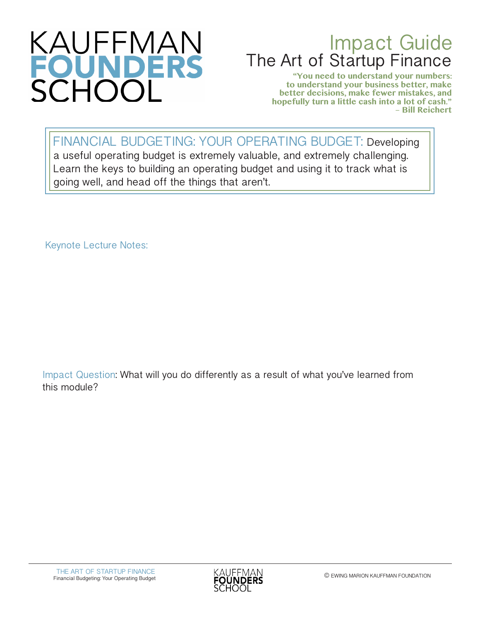

## Impact Guide The Art of Startup Finance

**"You need to understand your numbers: to understand your business better, make better decisions, make fewer mistakes, and hopefully turn a little cash into a lot of cash." – Bill Reichert**

FINANCIAL BUDGETING: YOUR OPERATING BUDGET: Developing a useful operating budget is extremely valuable, and extremely challenging. Learn the keys to building an operating budget and using it to track what is going well, and head off the things that aren't.

Keynote Lecture Notes:

Impact Question: What will you do differently as a result of what you've learned from this module?

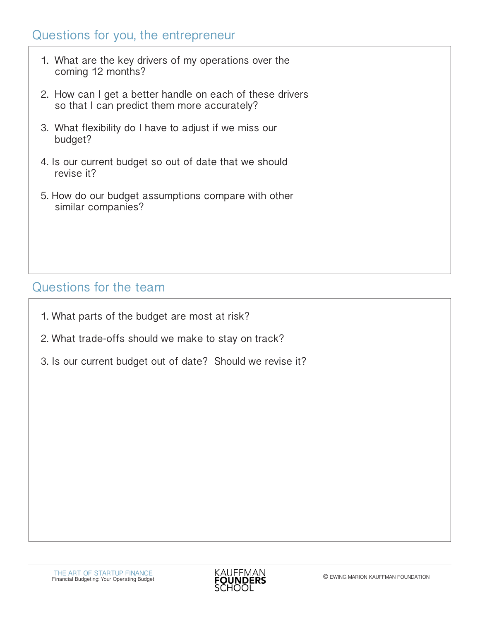## Questions for you, the entrepreneur

- 1. What are the key drivers of my operations over the coming 12 months?
- 2. How can I get a better handle on each of these drivers so that I can predict them more accurately?
- 3. What flexibility do I have to adjust if we miss our budget?
- 4. Is our current budget so out of date that we should revise it?
- 5. How do our budget assumptions compare with other similar companies?

## Questions for the team

- 1. What parts of the budget are most at risk?
- 2. What trade-offs should we make to stay on track?
- 3. Is our current budget out of date? Should we revise it?